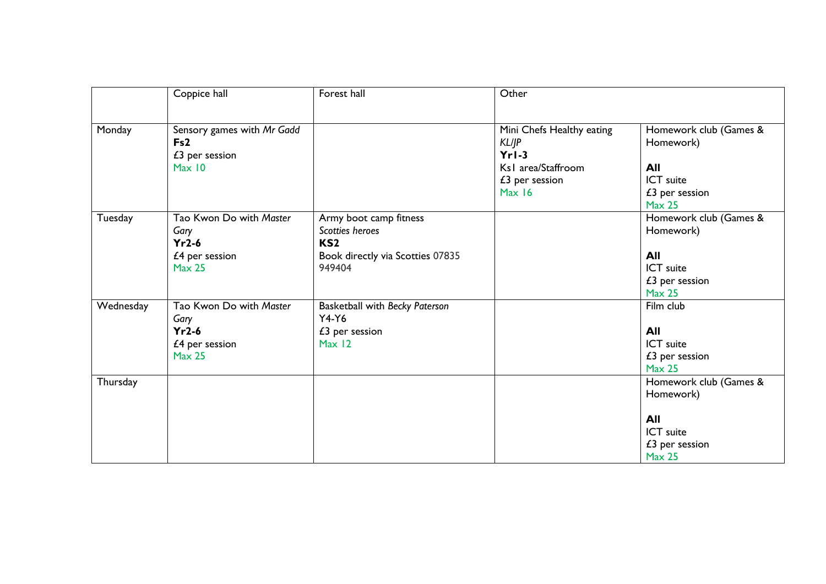|           | Coppice hall                                                                      | Forest hall                                                                                                | Other                                                                                                  |                                                                                              |
|-----------|-----------------------------------------------------------------------------------|------------------------------------------------------------------------------------------------------------|--------------------------------------------------------------------------------------------------------|----------------------------------------------------------------------------------------------|
| Monday    | Sensory games with Mr Gadd<br>Fs2<br>$£3$ per session<br>Max 10                   |                                                                                                            | Mini Chefs Healthy eating<br><b>KL/JP</b><br>$Yr1-3$<br>Ks1 area/Staffroom<br>£3 per session<br>Max 16 | Homework club (Games &<br>Homework)<br>All<br>ICT suite<br>£3 per session<br><b>Max 25</b>   |
| Tuesday   | Tao Kwon Do with Master<br>Gary<br>$Yr2-6$<br>£4 per session<br>Max <sub>25</sub> | Army boot camp fitness<br>Scotties heroes<br>KS <sub>2</sub><br>Book directly via Scotties 07835<br>949404 |                                                                                                        | Homework club (Games &<br>Homework)<br>All<br>ICT suite<br>$£3$ per session<br><b>Max 25</b> |
| Wednesday | Tao Kwon Do with Master<br>Gary<br>$Yr2-6$<br>£4 per session<br><b>Max 25</b>     | Basketball with Becky Paterson<br>$Y4-Y6$<br>£3 per session<br>Max 12                                      |                                                                                                        | Film club<br>All<br><b>ICT</b> suite<br>£3 per session<br><b>Max 25</b>                      |
| Thursday  |                                                                                   |                                                                                                            |                                                                                                        | Homework club (Games &<br>Homework)<br>All<br>ICT suite<br>$£3$ per session<br><b>Max 25</b> |